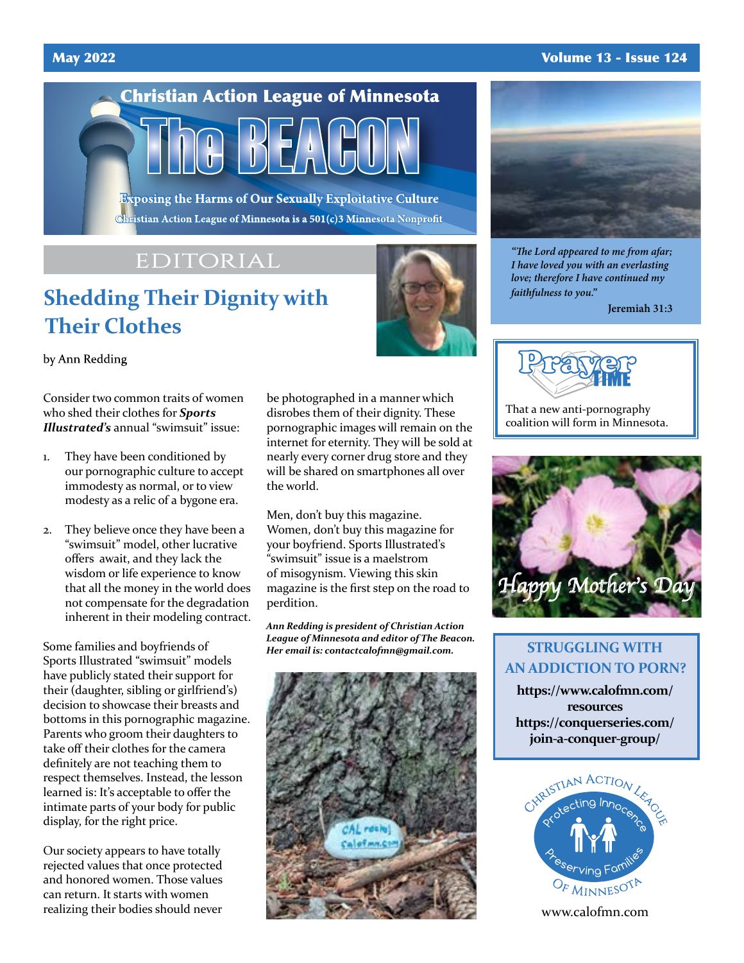#### May 2022 Volume 13 - Issue 124

# **Christian Action League of Minnesota**

**Exposing the Harms of Our Sexually Exploitative Culture** Christian Action League of Minnesota is a 501(c)3 Minnesota Nonprofit

# EDITORIAL

# **Shedding Their Dignity with Their Clothes**

by Ann Redding

Consider two common traits of women who shed their clothes for *Sports Illustrated's* annual "swimsuit" issue:

- 1. They have been conditioned by our pornographic culture to accept immodesty as normal, or to view modesty as a relic of a bygone era.
- 2. They believe once they have been a "swimsuit" model, other lucrative offers await, and they lack the wisdom or life experience to know that all the money in the world does not compensate for the degradation inherent in their modeling contract.

Some families and boyfriends of Sports Illustrated "swimsuit" models have publicly stated their support for their (daughter, sibling or girlfriend's) decision to showcase their breasts and bottoms in this pornographic magazine. Parents who groom their daughters to take off their clothes for the camera definitely are not teaching them to respect themselves. Instead, the lesson learned is: It's acceptable to offer the intimate parts of your body for public display, for the right price.

Our society appears to have totally rejected values that once protected and honored women. Those values can return. It starts with women realizing their bodies should never

be photographed in a manner which disrobes them of their dignity. These pornographic images will remain on the internet for eternity. They will be sold at nearly every corner drug store and they will be shared on smartphones all over the world.

Men, don't buy this magazine. Women, don't buy this magazine for your boyfriend. Sports Illustrated's "swimsuit" issue is a maelstrom of misogynism. Viewing this skin magazine is the first step on the road to perdition.

*Ann Redding is president of Christian Action League of Minnesota and editor of The Beacon. Her email is: contactcalofmn@gmail.com.*





*"The Lord appeared to me from afar; I have loved you with an everlasting love; therefore I have continued my faithfulness to you."*

**Jeremiah 31:3**



That a new anti-pornography coalition will form in Minnesota.



### **STRUGGLING WITH AN ADDICTION TO PORN?**

**https://www.calofmn.com/ resources https://conquerseries.com/ join-a-conquer-group/**



www.calofmn.com